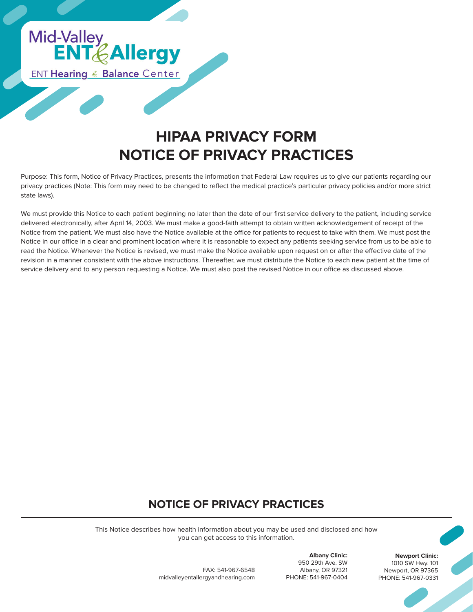

# **HIPAA PRIVACY FORM NOTICE OF PRIVACY PRACTICES**

Purpose: This form, Notice of Privacy Practices, presents the information that Federal Law requires us to give our patients regarding our privacy practices (Note: This form may need to be changed to reflect the medical practice's particular privacy policies and/or more strict state laws).

We must provide this Notice to each patient beginning no later than the date of our first service delivery to the patient, including service delivered electronically, after April 14, 2003. We must make a good-faith attempt to obtain written acknowledgement of receipt of the Notice from the patient. We must also have the Notice available at the office for patients to request to take with them. We must post the Notice in our office in a clear and prominent location where it is reasonable to expect any patients seeking service from us to be able to read the Notice. Whenever the Notice is revised, we must make the Notice available upon request on or after the effective date of the revision in a manner consistent with the above instructions. Thereafter, we must distribute the Notice to each new patient at the time of service delivery and to any person requesting a Notice. We must also post the revised Notice in our office as discussed above.

# **NOTICE OF PRIVACY PRACTICES**

This Notice describes how health information about you may be used and disclosed and how you can get access to this information.

> FAX: 541-967-6548 midvalleyentallergyandhearing.com

**Albany Clinic:** 950 29th Ave. SW Albany, OR 97321 PHONE: 541-967-0404

**Newport Clinic:** 1010 SW Hwy. 101 Newport, OR 97365 PHONE: 541-967-0331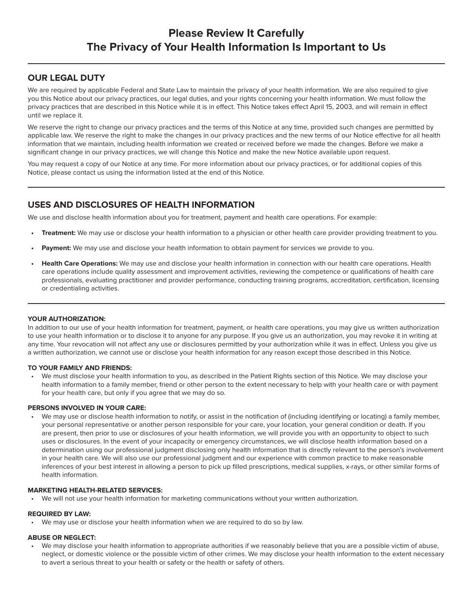# **Please Review It Carefully The Privacy of Your Health Information Is Important to Us**

## **OUR LEGAL DUTY**

We are required by applicable Federal and State Law to maintain the privacy of your health information. We are also required to give you this Notice about our privacy practices, our legal duties, and your rights concerning your health information. We must follow the privacy practices that are described in this Notice while it is in effect. This Notice takes effect April 15, 2003, and will remain in effect until we replace it.

We reserve the right to change our privacy practices and the terms of this Notice at any time, provided such changes are permitted by applicable law. We reserve the right to make the changes in our privacy practices and the new terms of our Notice effective for all health information that we maintain, including health information we created or received before we made the changes. Before we make a significant change in our privacy practices, we will change this Notice and make the new Notice available upon request.

You may request a copy of our Notice at any time. For more information about our privacy practices, or for additional copies of this Notice, please contact us using the information listed at the end of this Notice.

### **USES AND DISCLOSURES OF HEALTH INFORMATION**

We use and disclose health information about you for treatment, payment and health care operations. For example:

- **• Treatment:** We may use or disclose your health information to a physician or other health care provider providing treatment to you.
- **Payment:** We may use and disclose your health information to obtain payment for services we provide to you.
- **• Health Care Operations:** We may use and disclose your health information in connection with our health care operations. Health care operations include quality assessment and improvement activities, reviewing the competence or qualifications of health care professionals, evaluating practitioner and provider performance, conducting training programs, accreditation, certification, licensing or credentialing activities.

#### **YOUR AUTHORIZATION:**

In addition to our use of your health information for treatment, payment, or health care operations, you may give us written authorization to use your health information or to disclose it to anyone for any purpose. If you give us an authorization, you may revoke it in writing at any time. Your revocation will not affect any use or disclosures permitted by your authorization while it was in effect. Unless you give us a written authorization, we cannot use or disclose your health information for any reason except those described in this Notice.

#### **TO YOUR FAMILY AND FRIENDS:**

• We must disclose your health information to you, as described in the Patient Rights section of this Notice. We may disclose your health information to a family member, friend or other person to the extent necessary to help with your health care or with payment for your health care, but only if you agree that we may do so.

#### **PERSONS INVOLVED IN YOUR CARE:**

• We may use or disclose health information to notify, or assist in the notification of (including identifying or locating) a family member, your personal representative or another person responsible for your care, your location, your general condition or death. If you are present, then prior to use or disclosures of your health information, we will provide you with an opportunity to object to such uses or disclosures. In the event of your incapacity or emergency circumstances, we will disclose health information based on a determination using our professional judgment disclosing only health information that is directly relevant to the person's involvement in your health care. We will also use our professional judgment and our experience with common practice to make reasonable inferences of your best interest in allowing a person to pick up filled prescriptions, medical supplies, x-rays, or other similar forms of health information.

#### **MARKETING HEALTH-RELATED SERVICES:**

We will not use your health information for marketing communications without your written authorization.

#### **REQUIRED BY LAW:**

We may use or disclose your health information when we are required to do so by law.

#### **ABUSE OR NEGLECT:**

• We may disclose your health information to appropriate authorities if we reasonably believe that you are a possible victim of abuse, neglect, or domestic violence or the possible victim of other crimes. We may disclose your health information to the extent necessary to avert a serious threat to your health or safety or the health or safety of others.